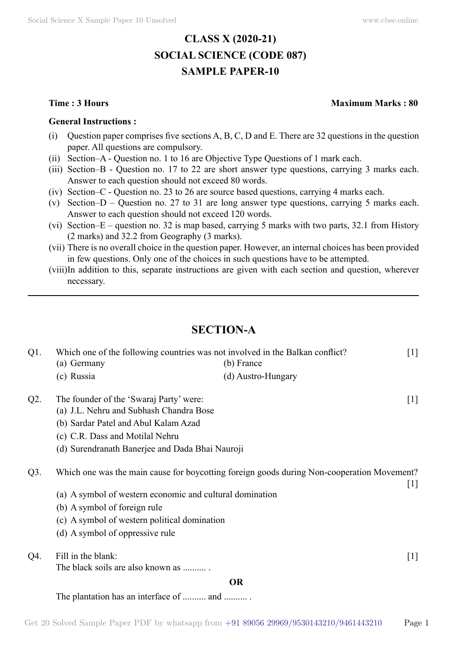# **CLASS X (2020-21) SOCIAL SCIENCE (CODE 087) SAMPLE PAPER-10**

#### **General Instructions :**

- (i) Question paper comprises five sections  $A, B, C, D$  and E. There are 32 questions in the question paper. All questions are compulsory.
- (ii) Section–A Question no. 1 to 16 are Objective Type Questions of 1 mark each.
- (iii) Section–B Question no. 17 to 22 are short answer type questions, carrying 3 marks each. Answer to each question should not exceed 80 words.
- (iv) Section–C Question no. 23 to 26 are source based questions, carrying 4 marks each.
- (v) Section–D Question no. 27 to 31 are long answer type questions, carrying 5 marks each. Answer to each question should not exceed 120 words.
- (vi) Section–E question no. 32 is map based, carrying 5 marks with two parts, 32.1 from History (2 marks) and 32.2 from Geography (3 marks).
- (vii) There is no overall choice in the question paper. However, an internal choices has been provided in few questions. Only one of the choices in such questions have to be attempted.
- (viii)In addition to this, separate instructions are given with each section and question, wherever necessary.

# **Section-A**

| $Q1$ . |                                                          | Which one of the following countries was not involved in the Balkan conflict?              | $[1]$ |
|--------|----------------------------------------------------------|--------------------------------------------------------------------------------------------|-------|
|        | (a) Germany                                              | (b) France                                                                                 |       |
|        | (c) Russia                                               | (d) Austro-Hungary                                                                         |       |
| $Q2$ . | The founder of the 'Swaraj Party' were:                  |                                                                                            | $[1]$ |
|        | (a) J.L. Nehru and Subhash Chandra Bose                  |                                                                                            |       |
|        | (b) Sardar Patel and Abul Kalam Azad                     |                                                                                            |       |
|        | (c) C.R. Dass and Motilal Nehru                          |                                                                                            |       |
|        | (d) Surendranath Banerjee and Dada Bhai Nauroji          |                                                                                            |       |
| $Q3$ . |                                                          | Which one was the main cause for boycotting foreign goods during Non-cooperation Movement? | $[1]$ |
|        | (a) A symbol of western economic and cultural domination |                                                                                            |       |
|        | (b) A symbol of foreign rule                             |                                                                                            |       |
|        | (c) A symbol of western political domination             |                                                                                            |       |
|        | (d) A symbol of oppressive rule                          |                                                                                            |       |
| Q4.    | Fill in the blank:                                       |                                                                                            | $[1]$ |
|        | The black soils are also known as                        |                                                                                            |       |
|        |                                                          | <b>OR</b>                                                                                  |       |
|        | The plantation has an interface of  and                  |                                                                                            |       |

## **Time : 3 Hours Maximum Marks : 80**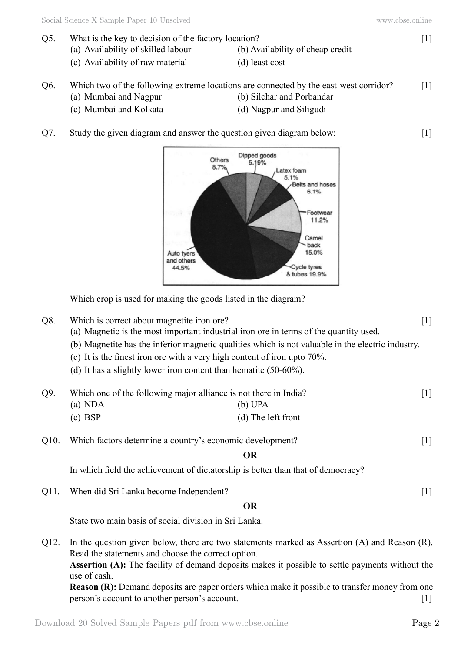- Q5. What is the key to decision of the factory location? [1]
	- (a) Availability of skilled labour (b) Availability of cheap credit
	- $(c)$  Availability of raw material  $(d)$  least cost
- -

| O <sub>6</sub> . | Which two of the following extreme locations are connected by the east-west corridor? |                           | $\lceil 1 \rceil$ |
|------------------|---------------------------------------------------------------------------------------|---------------------------|-------------------|
|                  | (a) Mumbai and Nagpur                                                                 | (b) Silchar and Porbandar |                   |
|                  | (c) Mumbai and Kolkata                                                                | (d) Nagpur and Siligudi   |                   |

Q7. Study the given diagram and answer the question given diagram below: [1]



Which crop is used for making the goods listed in the diagram?

- Q8. Which is correct about magnetite iron ore? [1]
	- (a) Magnetic is the most important industrial iron ore in terms of the quantity used.
	- (b) Magnetite has the inferior magnetic qualities which is not valuable in the electric industry.
	- (c) It is the finest iron ore with a very high content of iron upto 70%.
	- (d) It has a slightly lower iron content than hematite  $(50-60\%)$ .

| Q9. |           | Which one of the following major alliance is not there in India? | $\lceil 1 \rceil$ |
|-----|-----------|------------------------------------------------------------------|-------------------|
|     | (a) NDA   | $(b)$ UPA                                                        |                   |
|     | $(c)$ BSP | (d) The left front                                               |                   |

Q10. Which factors determine a country's economic development? [1]

 **O**

In which field the achievement of dictatorship is better than that of democracy?

Q11. When did Sri Lanka become Independent? [1]

 **O**

State two main basis of social division in Sri Lanka.

Q12. In the question given below, there are two statements marked as Assertion (A) and Reason (R). Read the statements and choose the correct option. **Assertion (A):** The facility of demand deposits makes it possible to settle payments without the use of cash. **Reason (R):** Demand deposits are paper orders which make it possible to transfer money from one person's account to another person's account. [1]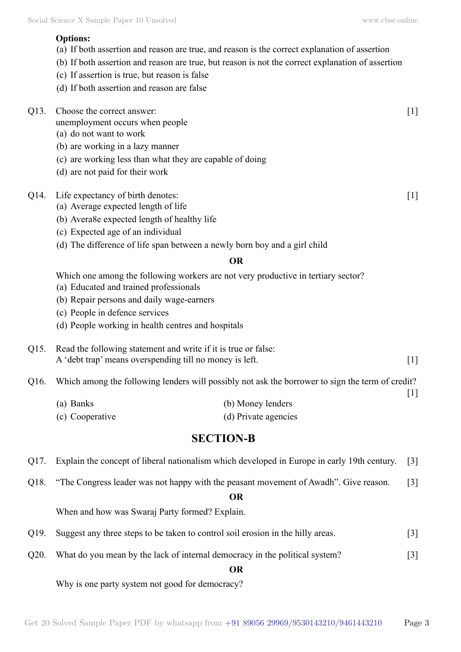## **Options:**

- (a) If both assertion and reason are true, and reason is the correct explanation of assertion
- (b) If both assertion and reason are true, but reason is not the correct explanation of assertion
- (c) If assertion is true, but reason is false
- (d) If both assertion and reason are false
- Q13. Choose the correct answer: [1]
	- unemployment occurs when people
	- (a) do not want to work
	- (b) are working in a lazy manner
	- (c) are working less than what they are capable of doing
	- (d) are not paid for their work
- Q14. Life expectancy of birth denotes: [1]
	- (a) Average expected length of life
	- (b) Avera8e expected length of healthy life
	- (c) Expected age of an individual
	- (d) The difference of life span between a newly born boy and a girl child

#### **O**

Which one among the following workers are not very productive in tertiary sector?

- (a) Educated and trained professionals
- (b) Repair persons and daily wage-earners
- (c) People in defence services
- (d) People working in health centres and hospitals

## Q15. Read the following statement and write if it is true or false: A 'debt trap' means overspending till no money is left. [1]

- Q16. Which among the following lenders will possibly not ask the borrower to sign the term of credit?
	- (a) Banks (b) Money lenders (c) Cooperative (d) Private agencies

# **Section-B**

- Q17. Explain the concept of liberal nationalism which developed in Europe in early 19th century. [3]
- Q18. "The Congress leader was not happy with the peasant movement of Awadh". Give reason. [3]

#### **O**

When and how was Swaraj Party formed? Explain.

- Q19. Suggest any three steps to be taken to control soil erosion in the hilly areas. [3]
- Q20. What do you mean by the lack of internal democracy in the political system? [3]

## **O**

Why is one party system not good for democracy?

[1]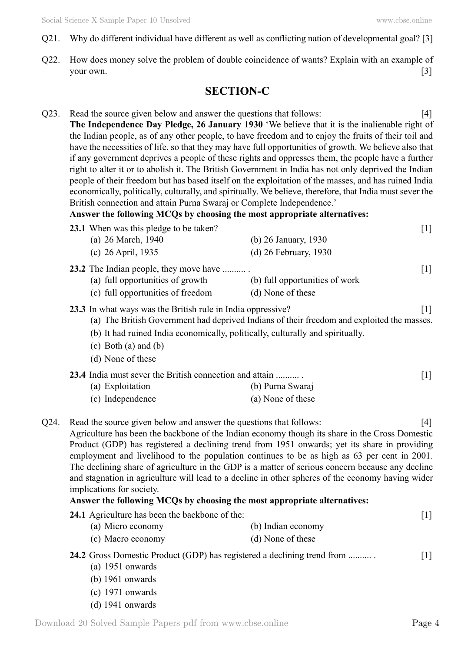- Q21. Why do different individual have different as well as conflicting nation of developmental goal? [3]
- Q22. How does money solve the problem of double coincidence of wants? Explain with an example of your own.  $[3]$

# **Section-C**

Q23. Read the source given below and answer the questions that follows: [4] **The Independence Day Pledge, 26 January 1930** 'We believe that it is the inalienable right of the Indian people, as of any other people, to have freedom and to enjoy the fruits of their toil and have the necessities of life, so that they may have full opportunities of growth. We believe also that if any government deprives a people of these rights and oppresses them, the people have a further right to alter it or to abolish it. The British Government in India has not only deprived the Indian people of their freedom but has based itself on the exploitation of the masses, and has ruined India economically, politically, culturally, and spiritually. We believe, therefore, that India must sever the British connection and attain Purna Swaraj or Complete Independence.'

## **Answer the following MCQs by choosing the most appropriate alternatives:**

| 23.1 When was this pledge to be taken?                                                                                                                                                     |                                                                                            | [1]               |
|--------------------------------------------------------------------------------------------------------------------------------------------------------------------------------------------|--------------------------------------------------------------------------------------------|-------------------|
| (a) 26 March, 1940                                                                                                                                                                         | (b) 26 January, 1930                                                                       |                   |
| (c) 26 April, 1935                                                                                                                                                                         | $(d)$ 26 February, 1930                                                                    |                   |
| <b>23.2</b> The Indian people, they move have<br>(a) full opportunities of growth<br>(c) full opportunities of freedom                                                                     | (b) full opportunities of work<br>(d) None of these                                        | $[1]$             |
| 23.3 In what ways was the British rule in India oppressive?<br>(b) It had ruined India economically, politically, culturally and spiritually.<br>(c) Both (a) and (b)<br>(d) None of these | (a) The British Government had deprived Indians of their freedom and exploited the masses. | 1                 |
| <b>23.4</b> India must sever the British connection and attain<br>(a) Exploitation                                                                                                         | (b) Purna Swaraj                                                                           | $\lceil 1 \rceil$ |
| (c) Independence                                                                                                                                                                           | (a) None of these                                                                          |                   |

Q24. Read the source given below and answer the questions that follows: [4] Agriculture has been the backbone of the Indian economy though its share in the Cross Domestic Product (GDP) has registered a declining trend from 1951 onwards; yet its share in providing employment and livelihood to the population continues to be as high as 63 per cent in 2001. The declining share of agriculture in the GDP is a matter of serious concern because any decline and stagnation in agriculture will lead to a decline in other spheres of the economy having wider implications for society.

## **Answer the following MCQs by choosing the most appropriate alternatives:**

| <b>24.1</b> Agriculture has been the backbone of the: |                    |  |
|-------------------------------------------------------|--------------------|--|
| (a) Micro economy                                     | (b) Indian economy |  |
| (c) Macro economy                                     | (d) None of these  |  |

## **24.2** Gross Domestic Product (GDP) has registered a declining trend from ..........

- (a) 1951 onwards
- (b) 1961 onwards
- $(c)$  1971 onwards
- (d) 1941 onwards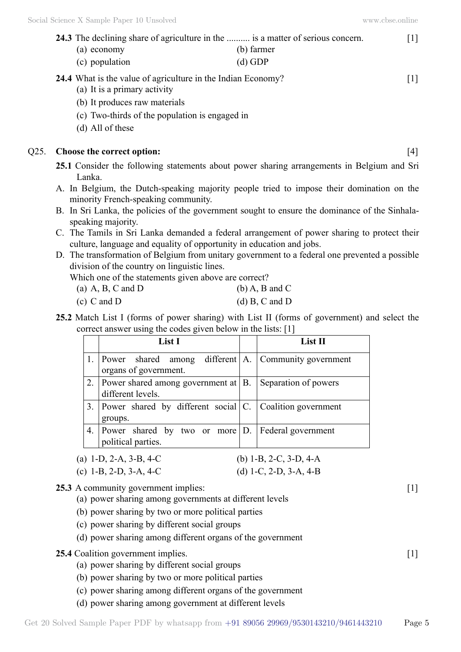| <b>24.3</b> The declining share of agriculture in the  is a matter of serious concern. |            | [1] |
|----------------------------------------------------------------------------------------|------------|-----|
| (a) economy                                                                            | (b) farmer |     |
| (c) population                                                                         | $(d)$ GDP  |     |
| 24.4 What is the value of agriculture in the Indian Economy?                           |            | [1] |
| (a) It is a primary activity                                                           |            |     |

- (b) It produces raw materials
- (c) Two-thirds of the population is engaged in
- (d) All of these

#### Q25. **Choose the correct option:** [4]

**25.1** Consider the following statements about power sharing arrangements in Belgium and Sri Lanka.

- A. In Belgium, the Dutch-speaking majority people tried to impose their domination on the minority French-speaking community.
- B. In Sri Lanka, the policies of the government sought to ensure the dominance of the Sinhalaspeaking majority.
- C. The Tamils in Sri Lanka demanded a federal arrangement of power sharing to protect their culture, language and equality of opportunity in education and jobs.
- D. The transformation of Belgium from unitary government to a federal one prevented a possible division of the country on linguistic lines.

 Which one of the statements given above are correct?

(a) A, B, C and D (b) A, B and C

| $(c)$ C and D | (d) B, C and D |
|---------------|----------------|

**25.2** Match List I (forms of power sharing) with List II (forms of government) and select the correct answer using the codes given below in the lists: [1]

|    | List I                                                                        | List II              |
|----|-------------------------------------------------------------------------------|----------------------|
|    | Power shared among different A. Community government<br>organs of government. |                      |
|    | Power shared among government at $ B $ .<br>different levels.                 | Separation of powers |
|    | 3. Power shared by different social $ C $ . Coalition government<br>groups.   |                      |
| 4. | Power shared by two or more $ D $ .<br>political parties.                     | Federal government   |

| (a) 1-D, 2-A, 3-B, 4-C | (b) 1-B, 2-C, 3-D, 4-A |
|------------------------|------------------------|
| (c) 1-B, 2-D, 3-A, 4-C | (d) 1-C, 2-D, 3-A, 4-B |

## **25.3** A community government implies:  $\begin{bmatrix} 1 \end{bmatrix}$

- (a) power sharing among governments at different levels
- (b) power sharing by two or more political parties
- (c) power sharing by different social groups
- (d) power sharing among different organs of the government

## **25.4** Coalition government implies. [1]

- (a) power sharing by different social groups
- (b) power sharing by two or more political parties
- (c) power sharing among different organs of the government
- (d) power sharing among government at different levels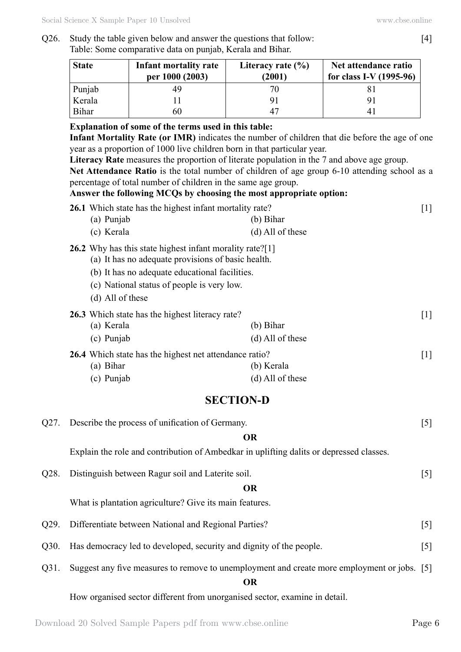## Q26. Study the table given below and answer the questions that follow: [4] Table: Some comparative data on punjab, Kerala and Bihar.

| <b>State</b> | Infant mortality rate<br>per 1000 (2003) | Literacy rate $(\% )$<br>(2001) | Net attendance ratio<br>for class I-V $(1995-96)$ |
|--------------|------------------------------------------|---------------------------------|---------------------------------------------------|
| Punjab       |                                          |                                 |                                                   |
| Kerala       |                                          |                                 |                                                   |
| Bihar        | 60                                       |                                 |                                                   |

## **Explanation of some of the terms used in this table:**

**Infant Mortality Rate (or IMR)** indicates the number of children that die before the age of one year as a proportion of 1000 live children born in that particular year.

**Literacy Rate** measures the proportion of literate population in the 7 and above age group.

**Net Attendance Ratio** is the total number of children of age group 6-10 attending school as a percentage of total number of children in the same age group.

## **Answer the following MCQs by choosing the most appropriate option:**

|      | 26.1 Which state has the highest infant mortality rate?<br>(a) Punjab                                                                                                                                                              | $(b)$ Bihar                      | $[1]$             |
|------|------------------------------------------------------------------------------------------------------------------------------------------------------------------------------------------------------------------------------------|----------------------------------|-------------------|
|      | (c) Kerala                                                                                                                                                                                                                         | (d) All of these                 |                   |
|      | 26.2 Why has this state highest infant morality rate?[1]<br>(a) It has no adequate provisions of basic health.<br>(b) It has no adequate educational facilities.<br>(c) National status of people is very low.<br>(d) All of these |                                  |                   |
|      | 26.3 Which state has the highest literacy rate?<br>(a) Kerala                                                                                                                                                                      | (b) Bihar                        | $\lceil 1 \rceil$ |
|      | (c) Punjab                                                                                                                                                                                                                         | (d) All of these                 |                   |
|      | 26.4 Which state has the highest net attendance ratio?<br>(a) Bihar<br>(c) Punjab                                                                                                                                                  | (b) Kerala<br>$(d)$ All of these | $\lceil 1 \rceil$ |
|      | <b>SECTION-D</b>                                                                                                                                                                                                                   |                                  |                   |
| Q27. | Describe the process of unification of Germany.                                                                                                                                                                                    |                                  | $\lceil 5 \rceil$ |
|      |                                                                                                                                                                                                                                    | <b>OR</b>                        |                   |
|      | Explain the role and contribution of Ambedkar in uplifting dalits or depressed classes.                                                                                                                                            |                                  |                   |
| Q28. | Distinguish between Ragur soil and Laterite soil.                                                                                                                                                                                  |                                  | $\left[5\right]$  |
|      |                                                                                                                                                                                                                                    | <b>OR</b>                        |                   |
|      | What is plantation agriculture? Give its main features.                                                                                                                                                                            |                                  |                   |
| Q29. | Differentiate between National and Regional Parties?                                                                                                                                                                               |                                  | $\lceil 5 \rceil$ |
| Q30. | Has democracy led to developed, security and dignity of the people.                                                                                                                                                                |                                  | [5]               |
| Q31. | Suggest any five measures to remove to unemployment and create more employment or jobs. [5]                                                                                                                                        | <b>OR</b>                        |                   |
|      | How organised sector different from unorganised sector, examine in detail.                                                                                                                                                         |                                  |                   |